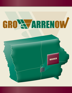# GRO WARRENOW

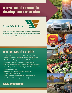#### warren county economic development corporation



#### *Naturally Set For Your Success*

Warren County, conveniently situated for business growth and development, is located in the growing Greater Des Moines metropolitan area and bordered by the Highway 5/65 Bypass and Interstate 35 with direct access to air and rail service.

#### warren county profile

- Founded in 1846, with the first elections in 1849, after General Joseph Warren, who died on June 17, 1775 at the Battle of Breed's Hill in the Revolutionary War
- Warren County is the 11th largest county in lowa with 46,225 residents
- The county is the fourth fastest growing county in lowa (by population)
- There are 16 towns in the county with 16 townships and five unincorporated towns
- There are 12 registered sites on the National Register of Historic Places in Warren County
- The county seat is Indianola, IA
- Warren County has 22 vineyards, three wineries and one distillery, including the oldest winery in the state
- The top 10 employers in Warren County employ 3,280 people combined
- Cost of living index in Warren County: 81.5 (January 2011)

#### www.wcedc.com

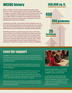## WCEDC history

WCEDC was founded in 1992 and is charged with helping retain and grow existing businesses, as well as working to position the county to successfully market and attract new employers. Since inception, WCEDC has helped more than 25 businesses, helped create over 450 jobs and added more than 356,000 square feet for industrial and commercial space. In addition, WCEDC has also lobbied and secured funding for development parks, transportation studies and reports, trail improvements, and maintained an 18-year-old leadership program with more than 350 graduates.

Executive Director, Jason White, a 10-year veteran of economic development in Iowa, was hired in April of 2011 bringing leadership and vitality to the organization. His past experience brings a variety of skills working with various-sized communities and multi-county regions, collaborating between private and public entities, and building outstanding relationships.

The WCEDC Board of Directors recognized the opportunity to do more in 2011. Warren County and Central Iowa were not impacted as greatly by the national recession in 2008 and had a chance to establish a new action plan to implement new strategic initiatives, fitting to the current time. After conducting a feasibility study, with feedback and input by 55 interviews of local greater Warren County leaders and business owners, the Board of Directors unanimously approved to bring in Convergent Nonprofit Solutions, L.L.C. to facilitate the fine-tuning of the new strategic action plan and implement GroWARRENow!

#### **356,000 sq.** for industrial and commercial space

450 iobs created

> 350 graduates from the WCEDC leadership program

25 businesses helped by WCEDC

#### case for support

GroWARRENow! has been developed as an aggressive approach to better compete in the arena of attracting, retaining and growing environmentally acceptable, primary businesses and industries for Warren County and to provide new, better and more diverse employment opportunities for residents.

This extraordinary five-year program is centered on the premise that a new and more pro-active approach is needed to step up the process of planned economic growth and community development.

GroWARRENow! requires a five-year investment of \$2,200,000. The source of revenues for the program will be from both public and private investors, with top investors serving actively in the governance of the program's implementation. Upon completion, GroWARRENow! will provide significant and positive impacts to the Warren County region as well as defined and reasonable Return on Investment to its supporters.

Breaking away from the annual "search for money" cycle will enable the staff of WCEDC to focus on mission, rather than having to continuously spend time each year in an ongoing effort to secure necessary funding.



Availability of working capital is as crucial to WCEDC as it is to any business. Five-year investments to the GroWARRENow! program provide that capital.

It is vital that leading community businesses and business leaders as well as governmental entities, foundations, philanthropists, and others join in making a significant investment in GroWARRENow! over the next five years to insure the viability of the program and the necessity of the results.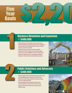# Five (39)<br>Year (39)<br>ioals (32) Year **Goals**

|<br>|<br>|

2

#### Business Retention and Expansion > \$400,000

- Utilize Synchronist as the centerpiece of the county's Business Retention and Expansion program and utilize contact management system/software to track existing business contacts for all other businesses and actions to be taken.
- Develop and market a checklist of assistance needed for entrepreneurs in Warren County at each stage of the support process, and assess the availability of services in Warren County.
- Establish an "opportunity fund" to investigate the viability of high-impact economic and community development projects.



#### Public Relations and Advocacy > \$300,000

- Develop a regular media contact program focused on metro media outlets highlighting positive Warren County growth efforts.
- Implement an all-encompassing WCEDC social media strategy anda new, modernized website.
- Develop a legislative plan and agenda to reach out to all levels of government on issues relevant to Warren County.
- Support current activity and advocate for tourism growth in Warren County.

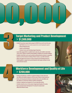#### Target Marketing and Product Development > \$1,300,000

- Establish four primary target industry groups for WCEDC focus over the next five years;
	- Agri-Business (Agri-Tourism activity is projected to be a result of targeting this segment)
		- Advanced Manufacturing

10,000

3

4

- Logistics and Distribution
- Customer Service and Technology Support Operations.
- Lead a fully engaged effort to establish shovel-ready sites and establish a fund which can be used as capital to remodel existing building or building new speculative buildings.
- Establish a fund which can be used to provide matching financial assistance to expanding businesses and new businesses looking at Warren County as a possible destination.
- Utilize and support local resources to attract and grow local technology businesses. Provide guidance to support start-up tech businesses that require assistance to local, metro and state resources.



#### Workforce Development and Quality of Life > \$200,000

- Develop and implement a workforce recruitment initiative to retain and recruit new skilled and unskilled employees to fill the needs of Warren County businesses.
- Partner with educational institutions to determine their assets and abilities and form alliances in Central Iowa related to workforce development.
- Continue to implement and organize the 18-year leadership institute.
- Schedule annual bus tours to show projects happening throughout the county.
- Host an annual Economic Development 101 seminar for newly elected officials from Warren County.

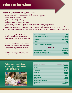### return on investment

#### **What will GroWARRENow! mean to greater Warren County?**

- 1. More commercial and industrial construction in Warren County
- 2. More attraction of firms and workers from other places, growing the economy and population
- 3. More and better jobs for Warren County residents
- 4. More pay for Warren County workers
- 5. More per capita income for Warren County households
- 6. More consumer expenditures by Warren County residents
- 7. More sales tax and real property tax collections by area government entities, allowing better government services
- 8. New companies and new families broaden the tax base and individual taxes do not go up as fast as businesses prosper and the community grows
- 9. More investments/bank deposits by Warren County households leads to more local lending, helping existing and start-up businesses
- 10. Increased quality of life from a growing tax base means more community improvements, better services, roads, parks, schools and recreational facilities

**The graphic to the right illustrates the projected impact that GroWARRENow! can have on Warren County with helping create just 100 new primary jobs:**

The increase in disposable income resulting in consumer spending and savings (deposit potential to area financial institutions) is the primary, measurable benefit of the effect of job creation on the private sector.

The increase in tax revenues (sales and property) is the primary, measurable benefit to the public sector.

| <b>Number of New Primary Jobs</b>                        | <b>100</b>  |  |
|----------------------------------------------------------|-------------|--|
| <b>Primary Wage Rate Paid (hourly)</b>                   | \$17.13     |  |
| <b>Total Direct Payroll</b>                              | 3,425,000   |  |
| <b>Total Payroll</b>                                     | \$4,829,250 |  |
| <b>Total Jobs</b>                                        | <b>162</b>  |  |
| <b>Calculated Indirect Jobs Created</b>                  | 62          |  |
| <b>Calculated Indirect Wage Rate Paid (hourly)</b>       | \$10.91     |  |
| <b>AREA VALUE</b>                                        |             |  |
| <b>Personal Income</b>                                   | \$3,380,475 |  |
| <b>Disposable Personal Income</b>                        | \$2,856,839 |  |
| <b>Net Personal Consumption Expenditures</b>             | \$2,669,431 |  |
| <b>Deposit Potential for Area Financial Institutions</b> | \$417,289   |  |
|                                                          |             |  |

#### Estimated Annual Private Sector Expenditure Impact in Warren County



| <b>EXPENDITURE CATEGORY</b>            | <b>EXPENDITURE AMOUNT</b> |
|----------------------------------------|---------------------------|
| <b>Food/Beverages</b>                  | 405,180                   |
| <b>Housing</b>                         | 860,414                   |
| <b>Apparel and Services</b>            | 114,859                   |
| <b>Transportation</b>                  | 532,877                   |
| <b>Health Care</b>                     | 187,933                   |
| <b>Entertainment</b>                   | 133,124                   |
| <b>Personal Care</b>                   | 34,542                    |
| <b>Reading/Education</b>               | 32.478                    |
| <b>Cash Contributions</b>              | 86,966                    |
| <b>Personal Insurance and Services</b> | 214,741                   |
| <b>Miscellaneous</b>                   | 41,649                    |
| <b>Total</b>                           | \$2.669.507               |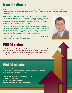# from the director

As a 10-year veteran economic developer, I am excited to see and be an agent in all of the growth happening in greater Warren County at a fascinating rate. I am honored to be in this position and in a county that has been ranked sixth in the state overall for the percent of growth since 1990 and currently fourth in growth rate.

Now is the time to take advantage of this gold mine of opportunity. WCEDC has done so by launching GroWARRENow! 2012-2016; a bold, progressive, pro-growth five-year Strategic Action Plan to capitalize on current trends to assist Warren County in economic development. GroWARRENow! 2012-2016 was cultivated with more than 100 greater Warren County business leaders and elected officials input, featuring four initiatives important to community and economic development.

GroWARRENow! 2012-2016 will lead the county to the next level and WCEDC has taken the proactive position to support and market Warren County's business opportunities and community, connectivity, and way of life. Our investors play this role simultaneously by supporting GroWARRENow! 2012-2016. Investors supporting GroWARRENow! are not just investing in WCEDC, but in the boldest initiative we have undertaken in the organizations history, capitalizing on economic momentum in the Central Iowa region.

It is exciting to think about the growth opportunities here and what will happen as a result of GroWARRENow! Join us on the bandwagon, moving Warren County to the next level.

#### WCEDC vision

WCEDC is the organization located in the Greater Des Moines, Iowa metropolitan region that demonstrates leadership, collaboration, and ingenuity to enhance the business climate, business and employment base, while promoting the unique and identifiable assets of the greater Warren County area, with the purpose of creating wealth and being the model of a results-driven organization

### WCEDC mission

The mission of WCEDC is to create and retain jobs while enhancing the quality of life in greater Warren County, accomplished foremost by strengthening and supporting the business climate in the area. WCEDC fulfills this mission by providing the following:

- <sup>&</sup>gt; **Business Retention and Expansion & Entrepreneurial Support**
- <sup>&</sup>gt; **Public Relations & Advocacy**
- <sup>&</sup>gt; **Product Development & Target Marketing**
- <sup>&</sup>gt; **Workforce Development & Quality of Life Enhancements**